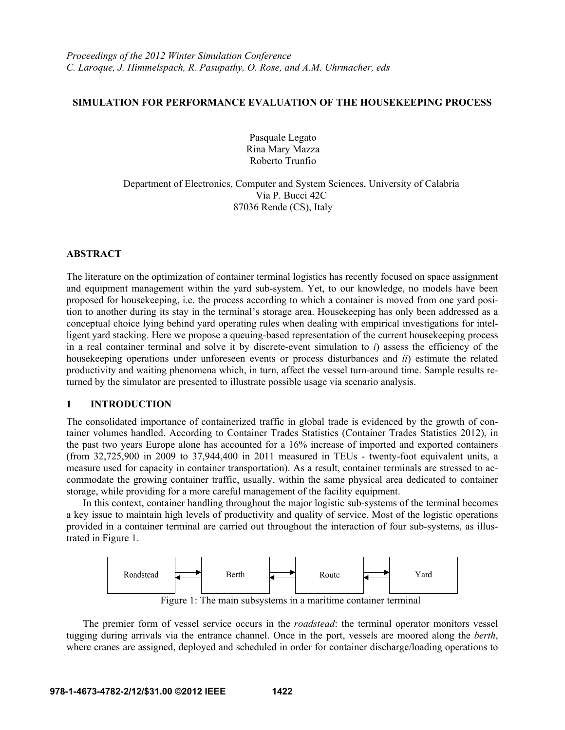### **SIMULATION FOR PERFORMANCE EVALUATION OF THE HOUSEKEEPING PROCESS**

Pasquale Legato Rina Mary Mazza Roberto Trunfio

# Department of Electronics, Computer and System Sciences, University of Calabria Via P. Bucci 42C 87036 Rende (CS), Italy

# **ABSTRACT**

The literature on the optimization of container terminal logistics has recently focused on space assignment and equipment management within the yard sub-system. Yet, to our knowledge, no models have been proposed for housekeeping, i.e. the process according to which a container is moved from one yard position to another during its stay in the terminal's storage area. Housekeeping has only been addressed as a conceptual choice lying behind yard operating rules when dealing with empirical investigations for intelligent yard stacking. Here we propose a queuing-based representation of the current housekeeping process in a real container terminal and solve it by discrete-event simulation to *i*) assess the efficiency of the housekeeping operations under unforeseen events or process disturbances and *ii*) estimate the related productivity and waiting phenomena which, in turn, affect the vessel turn-around time. Sample results returned by the simulator are presented to illustrate possible usage via scenario analysis.

## **1 INTRODUCTION**

The consolidated importance of containerized traffic in global trade is evidenced by the growth of container volumes handled. According to Container Trades Statistics (Container Trades Statistics 2012), in the past two years Europe alone has accounted for a 16% increase of imported and exported containers (from 32,725,900 in 2009 to 37,944,400 in 2011 measured in TEUs - twenty-foot equivalent units, a measure used for capacity in container transportation). As a result, container terminals are stressed to accommodate the growing container traffic, usually, within the same physical area dedicated to container storage, while providing for a more careful management of the facility equipment.

 In this context, container handling throughout the major logistic sub-systems of the terminal becomes a key issue to maintain high levels of productivity and quality of service. Most of the logistic operations provided in a container terminal are carried out throughout the interaction of four sub-systems, as illustrated in Figure 1.



Figure 1: The main subsystems in a maritime container terminal

The premier form of vessel service occurs in the *roadstead*: the terminal operator monitors vessel tugging during arrivals via the entrance channel. Once in the port, vessels are moored along the *berth*, where cranes are assigned, deployed and scheduled in order for container discharge/loading operations to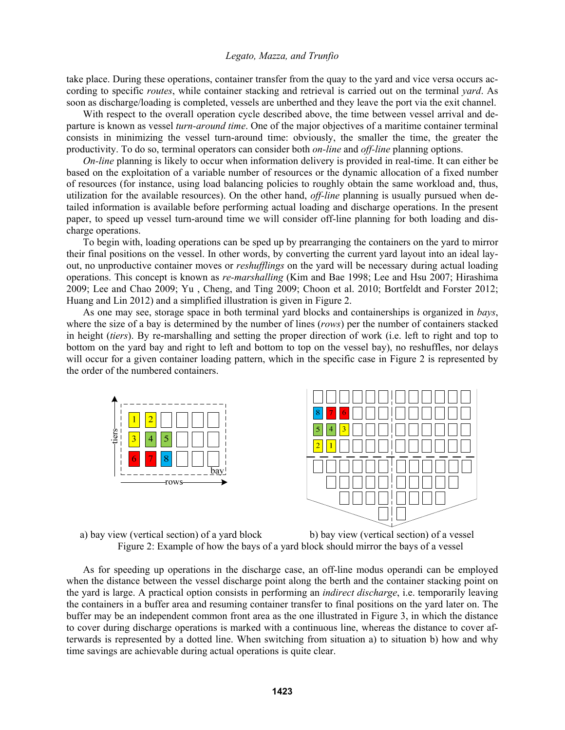take place. During these operations, container transfer from the quay to the yard and vice versa occurs according to specific *routes*, while container stacking and retrieval is carried out on the terminal *yard*. As soon as discharge/loading is completed, vessels are unberthed and they leave the port via the exit channel.

With respect to the overall operation cycle described above, the time between vessel arrival and departure is known as vessel *turn-around time*. One of the major objectives of a maritime container terminal consists in minimizing the vessel turn-around time: obviously, the smaller the time, the greater the productivity. To do so, terminal operators can consider both *on-line* and *off-line* planning options.

*On-line* planning is likely to occur when information delivery is provided in real-time. It can either be based on the exploitation of a variable number of resources or the dynamic allocation of a fixed number of resources (for instance, using load balancing policies to roughly obtain the same workload and, thus, utilization for the available resources). On the other hand, *off-line* planning is usually pursued when detailed information is available before performing actual loading and discharge operations. In the present paper, to speed up vessel turn-around time we will consider off-line planning for both loading and discharge operations.

To begin with, loading operations can be sped up by prearranging the containers on the yard to mirror their final positions on the vessel. In other words, by converting the current yard layout into an ideal layout, no unproductive container moves or *reshufflings* on the yard will be necessary during actual loading operations. This concept is known as *re-marshalling* (Kim and Bae 1998; Lee and Hsu 2007; Hirashima 2009; Lee and Chao 2009; Yu , Cheng, and Ting 2009; Choon et al. 2010; Bortfeldt and Forster 2012; Huang and Lin 2012) and a simplified illustration is given in Figure 2.

As one may see, storage space in both terminal yard blocks and containerships is organized in *bays*, where the size of a bay is determined by the number of lines (*rows*) per the number of containers stacked in height (*tiers*). By re-marshalling and setting the proper direction of work (i.e. left to right and top to bottom on the yard bay and right to left and bottom to top on the vessel bay), no reshuffles, nor delays will occur for a given container loading pattern, which in the specific case in Figure 2 is represented by the order of the numbered containers.





a) bay view (vertical section) of a yard block b) bay view (vertical section) of a vessel Figure 2: Example of how the bays of a yard block should mirror the bays of a vessel

As for speeding up operations in the discharge case, an off-line modus operandi can be employed when the distance between the vessel discharge point along the berth and the container stacking point on the yard is large. A practical option consists in performing an *indirect discharge*, i.e. temporarily leaving the containers in a buffer area and resuming container transfer to final positions on the yard later on. The buffer may be an independent common front area as the one illustrated in Figure 3, in which the distance to cover during discharge operations is marked with a continuous line, whereas the distance to cover afterwards is represented by a dotted line. When switching from situation a) to situation b) how and why time savings are achievable during actual operations is quite clear.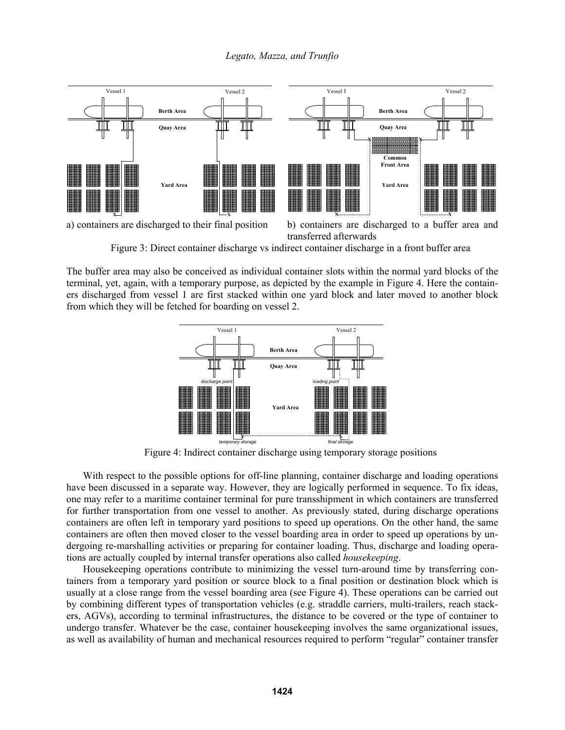

a) containers are discharged to their final position b) containers are discharged to a buffer area and transferred afterwards

Figure 3: Direct container discharge vs indirect container discharge in a front buffer area

The buffer area may also be conceived as individual container slots within the normal yard blocks of the terminal, yet, again, with a temporary purpose, as depicted by the example in Figure 4. Here the containers discharged from vessel 1 are first stacked within one yard block and later moved to another block from which they will be fetched for boarding on vessel 2.



Figure 4: Indirect container discharge using temporary storage positions

With respect to the possible options for off-line planning, container discharge and loading operations have been discussed in a separate way. However, they are logically performed in sequence. To fix ideas, one may refer to a maritime container terminal for pure transshipment in which containers are transferred for further transportation from one vessel to another. As previously stated, during discharge operations containers are often left in temporary yard positions to speed up operations. On the other hand, the same containers are often then moved closer to the vessel boarding area in order to speed up operations by undergoing re-marshalling activities or preparing for container loading. Thus, discharge and loading operations are actually coupled by internal transfer operations also called *housekeeping*.

Housekeeping operations contribute to minimizing the vessel turn-around time by transferring containers from a temporary yard position or source block to a final position or destination block which is usually at a close range from the vessel boarding area (see Figure 4). These operations can be carried out by combining different types of transportation vehicles (e.g. straddle carriers, multi-trailers, reach stackers, AGVs), according to terminal infrastructures, the distance to be covered or the type of container to undergo transfer. Whatever be the case, container housekeeping involves the same organizational issues, as well as availability of human and mechanical resources required to perform "regular" container transfer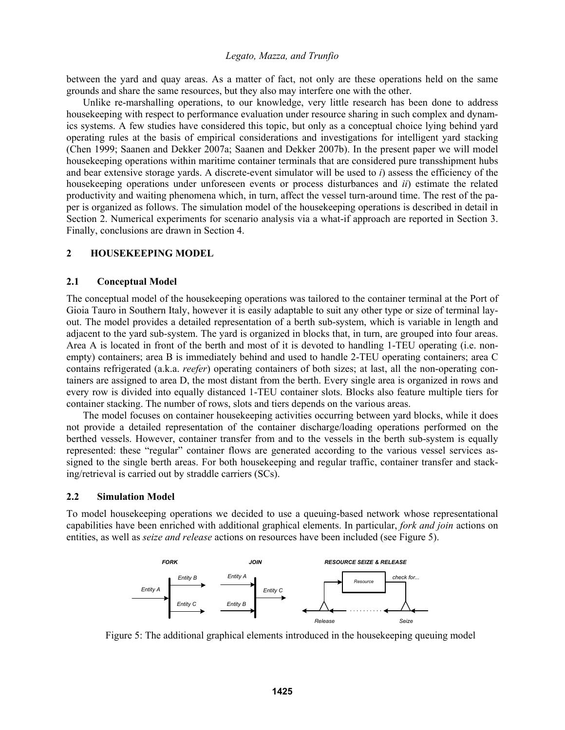between the yard and quay areas. As a matter of fact, not only are these operations held on the same grounds and share the same resources, but they also may interfere one with the other.

Unlike re-marshalling operations, to our knowledge, very little research has been done to address housekeeping with respect to performance evaluation under resource sharing in such complex and dynamics systems. A few studies have considered this topic, but only as a conceptual choice lying behind yard operating rules at the basis of empirical considerations and investigations for intelligent yard stacking (Chen 1999; Saanen and Dekker 2007a; Saanen and Dekker 2007b). In the present paper we will model housekeeping operations within maritime container terminals that are considered pure transshipment hubs and bear extensive storage yards. A discrete-event simulator will be used to *i*) assess the efficiency of the housekeeping operations under unforeseen events or process disturbances and *ii*) estimate the related productivity and waiting phenomena which, in turn, affect the vessel turn-around time. The rest of the paper is organized as follows. The simulation model of the housekeeping operations is described in detail in Section 2. Numerical experiments for scenario analysis via a what-if approach are reported in Section 3. Finally, conclusions are drawn in Section 4.

## **2 HOUSEKEEPING MODEL**

### **2.1 Conceptual Model**

The conceptual model of the housekeeping operations was tailored to the container terminal at the Port of Gioia Tauro in Southern Italy, however it is easily adaptable to suit any other type or size of terminal layout. The model provides a detailed representation of a berth sub-system, which is variable in length and adjacent to the yard sub-system. The yard is organized in blocks that, in turn, are grouped into four areas. Area A is located in front of the berth and most of it is devoted to handling 1-TEU operating (i.e. nonempty) containers; area B is immediately behind and used to handle 2-TEU operating containers; area C contains refrigerated (a.k.a. *reefer*) operating containers of both sizes; at last, all the non-operating containers are assigned to area D, the most distant from the berth. Every single area is organized in rows and every row is divided into equally distanced 1-TEU container slots. Blocks also feature multiple tiers for container stacking. The number of rows, slots and tiers depends on the various areas.

The model focuses on container housekeeping activities occurring between yard blocks, while it does not provide a detailed representation of the container discharge/loading operations performed on the berthed vessels. However, container transfer from and to the vessels in the berth sub-system is equally represented: these "regular" container flows are generated according to the various vessel services assigned to the single berth areas. For both housekeeping and regular traffic, container transfer and stacking/retrieval is carried out by straddle carriers (SCs).

#### **2.2 Simulation Model**

To model housekeeping operations we decided to use a queuing-based network whose representational capabilities have been enriched with additional graphical elements. In particular, *fork and join* actions on entities, as well as *seize and release* actions on resources have been included (see Figure 5).



Figure 5: The additional graphical elements introduced in the housekeeping queuing model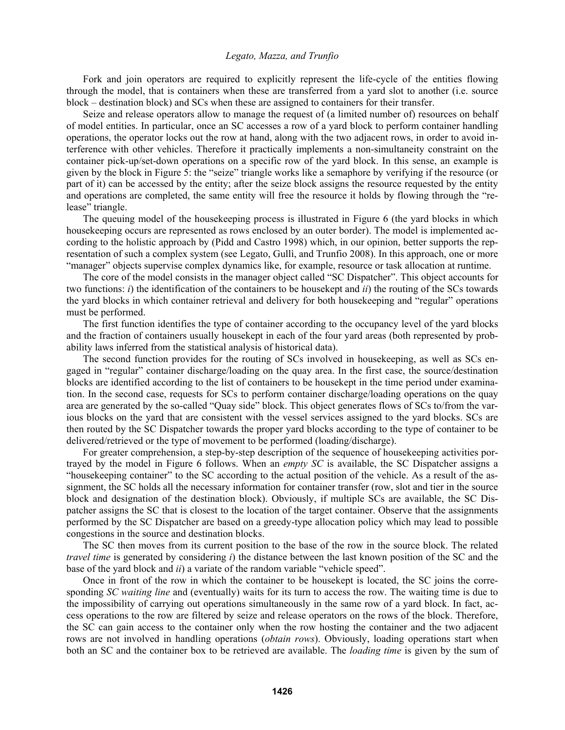Fork and join operators are required to explicitly represent the life-cycle of the entities flowing through the model, that is containers when these are transferred from a yard slot to another (i.e. source block – destination block) and SCs when these are assigned to containers for their transfer.

Seize and release operators allow to manage the request of (a limited number of) resources on behalf of model entities. In particular, once an SC accesses a row of a yard block to perform container handling operations, the operator locks out the row at hand, along with the two adjacent rows, in order to avoid interference with other vehicles. Therefore it practically implements a non-simultaneity constraint on the container pick-up/set-down operations on a specific row of the yard block. In this sense, an example is given by the block in Figure 5: the "seize" triangle works like a semaphore by verifying if the resource (or part of it) can be accessed by the entity; after the seize block assigns the resource requested by the entity and operations are completed, the same entity will free the resource it holds by flowing through the "release" triangle.

The queuing model of the housekeeping process is illustrated in Figure 6 (the yard blocks in which housekeeping occurs are represented as rows enclosed by an outer border). The model is implemented according to the holistic approach by (Pidd and Castro 1998) which, in our opinion, better supports the representation of such a complex system (see Legato, Gullì, and Trunfio 2008). In this approach, one or more "manager" objects supervise complex dynamics like, for example, resource or task allocation at runtime.

The core of the model consists in the manager object called "SC Dispatcher". This object accounts for two functions: *i*) the identification of the containers to be housekept and *ii*) the routing of the SCs towards the yard blocks in which container retrieval and delivery for both housekeeping and "regular" operations must be performed.

The first function identifies the type of container according to the occupancy level of the yard blocks and the fraction of containers usually housekept in each of the four yard areas (both represented by probability laws inferred from the statistical analysis of historical data).

The second function provides for the routing of SCs involved in housekeeping, as well as SCs engaged in "regular" container discharge/loading on the quay area. In the first case, the source/destination blocks are identified according to the list of containers to be housekept in the time period under examination. In the second case, requests for SCs to perform container discharge/loading operations on the quay area are generated by the so-called "Quay side" block. This object generates flows of SCs to/from the various blocks on the yard that are consistent with the vessel services assigned to the yard blocks. SCs are then routed by the SC Dispatcher towards the proper yard blocks according to the type of container to be delivered/retrieved or the type of movement to be performed (loading/discharge).

For greater comprehension, a step-by-step description of the sequence of housekeeping activities portrayed by the model in Figure 6 follows. When an *empty SC* is available, the SC Dispatcher assigns a "housekeeping container" to the SC according to the actual position of the vehicle. As a result of the assignment, the SC holds all the necessary information for container transfer (row, slot and tier in the source block and designation of the destination block). Obviously, if multiple SCs are available, the SC Dispatcher assigns the SC that is closest to the location of the target container. Observe that the assignments performed by the SC Dispatcher are based on a greedy-type allocation policy which may lead to possible congestions in the source and destination blocks.

The SC then moves from its current position to the base of the row in the source block. The related *travel time* is generated by considering *i*) the distance between the last known position of the SC and the base of the yard block and *ii*) a variate of the random variable "vehicle speed".

Once in front of the row in which the container to be housekept is located, the SC joins the corresponding *SC waiting line* and (eventually) waits for its turn to access the row. The waiting time is due to the impossibility of carrying out operations simultaneously in the same row of a yard block. In fact, access operations to the row are filtered by seize and release operators on the rows of the block. Therefore, the SC can gain access to the container only when the row hosting the container and the two adjacent rows are not involved in handling operations (*obtain rows*). Obviously, loading operations start when both an SC and the container box to be retrieved are available. The *loading time* is given by the sum of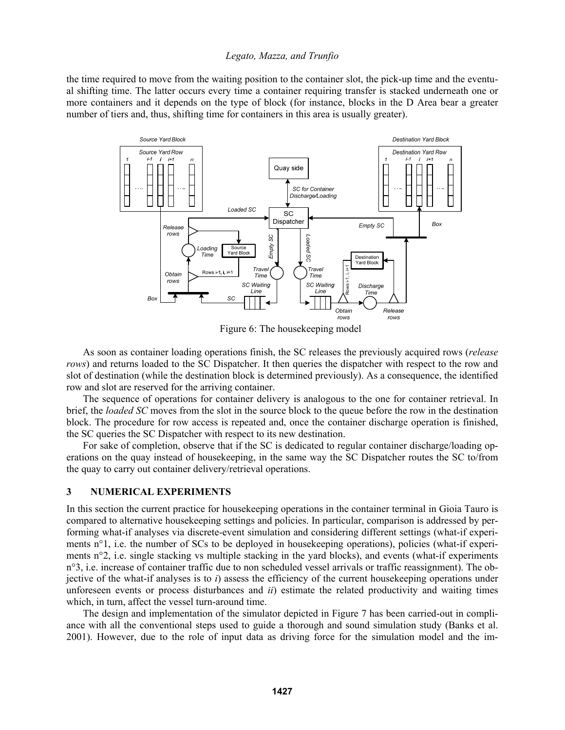the time required to move from the waiting position to the container slot, the pick-up time and the eventual shifting time. The latter occurs every time a container requiring transfer is stacked underneath one or more containers and it depends on the type of block (for instance, blocks in the D Area bear a greater number of tiers and, thus, shifting time for containers in this area is usually greater).



Figure 6: The housekeeping model

As soon as container loading operations finish, the SC releases the previously acquired rows (*release rows*) and returns loaded to the SC Dispatcher. It then queries the dispatcher with respect to the row and slot of destination (while the destination block is determined previously). As a consequence, the identified row and slot are reserved for the arriving container.

The sequence of operations for container delivery is analogous to the one for container retrieval. In brief, the *loaded SC* moves from the slot in the source block to the queue before the row in the destination block. The procedure for row access is repeated and, once the container discharge operation is finished, the SC queries the SC Dispatcher with respect to its new destination.

For sake of completion, observe that if the SC is dedicated to regular container discharge/loading operations on the quay instead of housekeeping, in the same way the SC Dispatcher routes the SC to/from the quay to carry out container delivery/retrieval operations.

### **3 NUMERICAL EXPERIMENTS**

In this section the current practice for housekeeping operations in the container terminal in Gioia Tauro is compared to alternative housekeeping settings and policies. In particular, comparison is addressed by performing what-if analyses via discrete-event simulation and considering different settings (what-if experiments n°1, i.e. the number of SCs to be deployed in housekeeping operations), policies (what-if experiments n°2, i.e. single stacking vs multiple stacking in the yard blocks), and events (what-if experiments n°3, i.e. increase of container traffic due to non scheduled vessel arrivals or traffic reassignment). The objective of the what-if analyses is to *i*) assess the efficiency of the current housekeeping operations under unforeseen events or process disturbances and *ii*) estimate the related productivity and waiting times which, in turn, affect the vessel turn-around time.

The design and implementation of the simulator depicted in Figure 7 has been carried-out in compliance with all the conventional steps used to guide a thorough and sound simulation study (Banks et al. 2001). However, due to the role of input data as driving force for the simulation model and the im-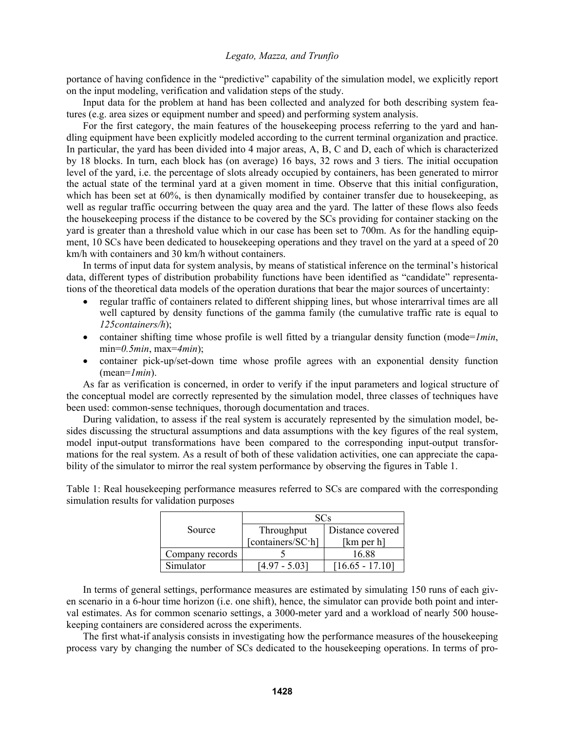portance of having confidence in the "predictive" capability of the simulation model, we explicitly report on the input modeling, verification and validation steps of the study.

Input data for the problem at hand has been collected and analyzed for both describing system features (e.g. area sizes or equipment number and speed) and performing system analysis.

For the first category, the main features of the housekeeping process referring to the yard and handling equipment have been explicitly modeled according to the current terminal organization and practice. In particular, the yard has been divided into 4 major areas, A, B, C and D, each of which is characterized by 18 blocks. In turn, each block has (on average) 16 bays, 32 rows and 3 tiers. The initial occupation level of the yard, i.e. the percentage of slots already occupied by containers, has been generated to mirror the actual state of the terminal yard at a given moment in time. Observe that this initial configuration, which has been set at 60%, is then dynamically modified by container transfer due to house keeping, as well as regular traffic occurring between the quay area and the yard. The latter of these flows also feeds the housekeeping process if the distance to be covered by the SCs providing for container stacking on the yard is greater than a threshold value which in our case has been set to 700m. As for the handling equipment, 10 SCs have been dedicated to housekeeping operations and they travel on the yard at a speed of 20 km/h with containers and 30 km/h without containers.

In terms of input data for system analysis, by means of statistical inference on the terminal's historical data, different types of distribution probability functions have been identified as "candidate" representations of the theoretical data models of the operation durations that bear the major sources of uncertainty:

- regular traffic of containers related to different shipping lines, but whose interarrival times are all well captured by density functions of the gamma family (the cumulative traffic rate is equal to *125containers/h*);
- container shifting time whose profile is well fitted by a triangular density function (mode= $1min$ , min=*0.5min*, max=*4min*);
- container pick-up/set-down time whose profile agrees with an exponential density function (mean=*1min*).

As far as verification is concerned, in order to verify if the input parameters and logical structure of the conceptual model are correctly represented by the simulation model, three classes of techniques have been used: common-sense techniques, thorough documentation and traces.

During validation, to assess if the real system is accurately represented by the simulation model, besides discussing the structural assumptions and data assumptions with the key figures of the real system, model input-output transformations have been compared to the corresponding input-output transformations for the real system. As a result of both of these validation activities, one can appreciate the capability of the simulator to mirror the real system performance by observing the figures in Table 1.

|                 | SCs               |                   |
|-----------------|-------------------|-------------------|
| Source          | Throughput        | Distance covered  |
|                 | [containers/SC·h] | [ $km$ per $h$ ]  |
| Company records |                   | 16.88             |
| Simulator       | $[4.97 - 5.03]$   | $[16.65 - 17.10]$ |

Table 1: Real housekeeping performance measures referred to SCs are compared with the corresponding simulation results for validation purposes

In terms of general settings, performance measures are estimated by simulating 150 runs of each given scenario in a 6-hour time horizon (i.e. one shift), hence, the simulator can provide both point and interval estimates. As for common scenario settings, a 3000-meter yard and a workload of nearly 500 housekeeping containers are considered across the experiments.

The first what-if analysis consists in investigating how the performance measures of the housekeeping process vary by changing the number of SCs dedicated to the housekeeping operations. In terms of pro-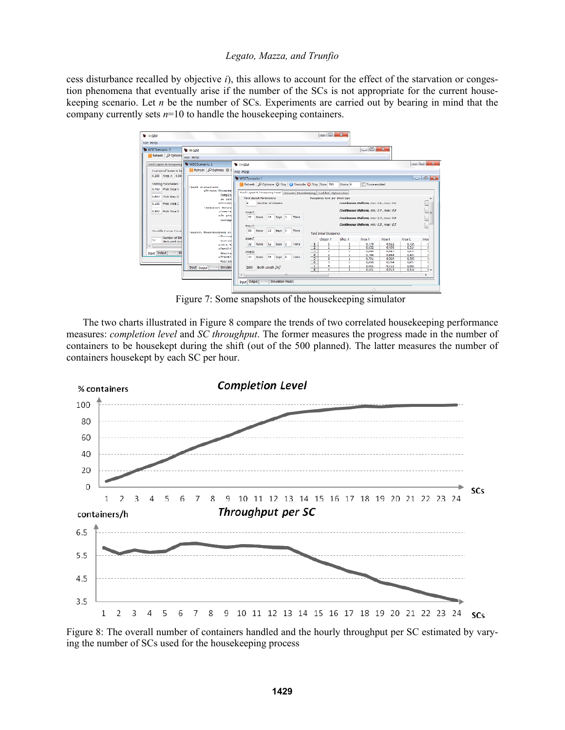cess disturbance recalled by objective *i*), this allows to account for the effect of the starvation or congestion phenomena that eventually arise if the number of the SCs is not appropriate for the current housekeeping scenario. Let *n* be the number of SCs. Experiments are carried out by bearing in mind that the company currently sets *n*=10 to handle the housekeeping containers.



Figure 7: Some snapshots of the housekeeping simulator

The two charts illustrated in Figure 8 compare the trends of two correlated housekeeping performance measures: *completion level* and *SC throughput*. The former measures the progress made in the number of containers to be housekept during the shift (out of the 500 planned). The latter measures the number of containers housekept by each SC per hour.



Figure 8: The overall number of containers handled and the hourly throughput per SC estimated by varying the number of SCs used for the housekeeping process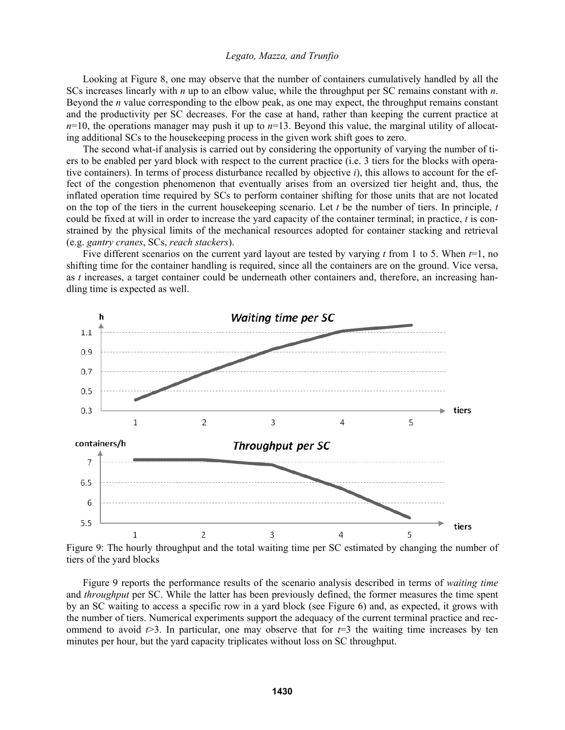Looking at Figure 8, one may observe that the number of containers cumulatively handled by all the SCs increases linearly with *n* up to an elbow value, while the throughput per SC remains constant with *n*. Beyond the *n* value corresponding to the elbow peak, as one may expect, the throughput remains constant and the productivity per SC decreases. For the case at hand, rather than keeping the current practice at  $n=10$ , the operations manager may push it up to  $n=13$ . Beyond this value, the marginal utility of allocating additional SCs to the housekeeping process in the given work shift goes to zero.

The second what-if analysis is carried out by considering the opportunity of varying the number of tiers to be enabled per yard block with respect to the current practice (i.e. 3 tiers for the blocks with operative containers). In terms of process disturbance recalled by objective *i*), this allows to account for the effect of the congestion phenomenon that eventually arises from an oversized tier height and, thus, the inflated operation time required by SCs to perform container shifting for those units that are not located on the top of the tiers in the current housekeeping scenario. Let *t* be the number of tiers. In principle, *t* could be fixed at will in order to increase the yard capacity of the container terminal; in practice, *t* is constrained by the physical limits of the mechanical resources adopted for container stacking and retrieval (e.g. *gantry cranes*, SCs, *reach stackers*).

Five different scenarios on the current yard layout are tested by varying  $t$  from 1 to 5. When  $t=1$ , no shifting time for the container handling is required, since all the containers are on the ground. Vice versa, as *t* increases, a target container could be underneath other containers and, therefore, an increasing handling time is expected as well.



Figure 9: The hourly throughput and the total waiting time per SC estimated by changing the number of tiers of the yard blocks

Figure 9 reports the performance results of the scenario analysis described in terms of *waiting time* and *throughput* per SC. While the latter has been previously defined, the former measures the time spent by an SC waiting to access a specific row in a yard block (see Figure 6) and, as expected, it grows with the number of tiers. Numerical experiments support the adequacy of the current terminal practice and recommend to avoid  $t > 3$ . In particular, one may observe that for  $t = 3$  the waiting time increases by ten minutes per hour, but the yard capacity triplicates without loss on SC throughput.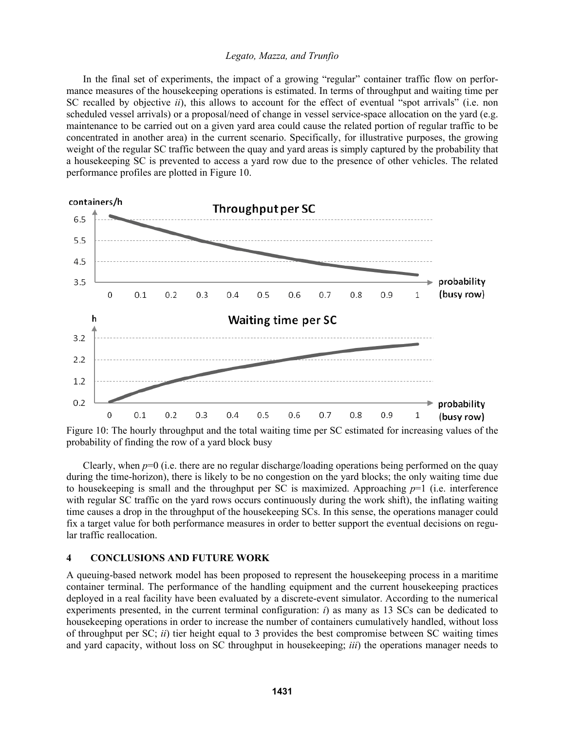In the final set of experiments, the impact of a growing "regular" container traffic flow on performance measures of the housekeeping operations is estimated. In terms of throughput and waiting time per SC recalled by objective *ii*), this allows to account for the effect of eventual "spot arrivals" (i.e. non scheduled vessel arrivals) or a proposal/need of change in vessel service-space allocation on the yard (e.g. maintenance to be carried out on a given yard area could cause the related portion of regular traffic to be concentrated in another area) in the current scenario. Specifically, for illustrative purposes, the growing weight of the regular SC traffic between the quay and yard areas is simply captured by the probability that a housekeeping SC is prevented to access a yard row due to the presence of other vehicles. The related performance profiles are plotted in Figure 10.



Figure 10: The hourly throughput and the total waiting time per SC estimated for increasing values of the probability of finding the row of a yard block busy

Clearly, when *p*=0 (i.e. there are no regular discharge/loading operations being performed on the quay during the time-horizon), there is likely to be no congestion on the yard blocks; the only waiting time due to house keeping is small and the throughput per SC is maximized. Approaching  $p=1$  (i.e. interference with regular SC traffic on the yard rows occurs continuously during the work shift), the inflating waiting time causes a drop in the throughput of the housekeeping SCs. In this sense, the operations manager could fix a target value for both performance measures in order to better support the eventual decisions on regular traffic reallocation.

### **4 CONCLUSIONS AND FUTURE WORK**

A queuing-based network model has been proposed to represent the housekeeping process in a maritime container terminal. The performance of the handling equipment and the current housekeeping practices deployed in a real facility have been evaluated by a discrete-event simulator. According to the numerical experiments presented, in the current terminal configuration: *i*) as many as 13 SCs can be dedicated to housekeeping operations in order to increase the number of containers cumulatively handled, without loss of throughput per SC; *ii*) tier height equal to 3 provides the best compromise between SC waiting times and yard capacity, without loss on SC throughput in housekeeping; *iii*) the operations manager needs to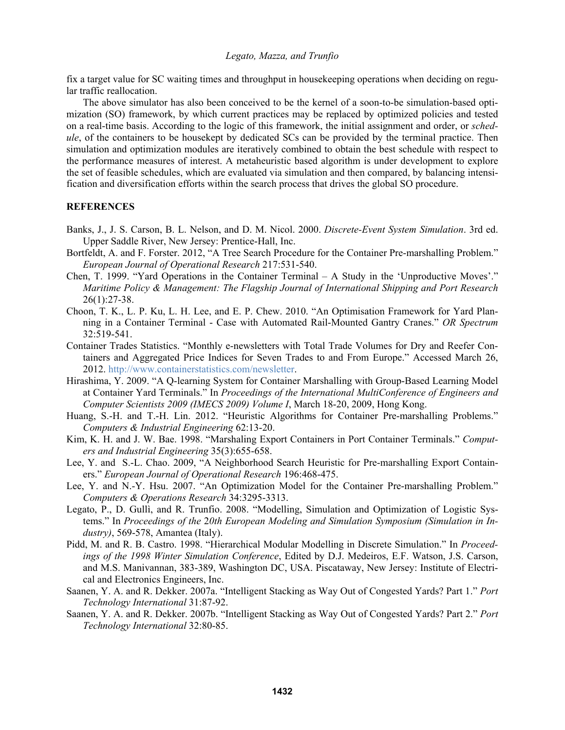fix a target value for SC waiting times and throughput in housekeeping operations when deciding on regular traffic reallocation.

The above simulator has also been conceived to be the kernel of a soon-to-be simulation-based optimization (SO) framework, by which current practices may be replaced by optimized policies and tested on a real-time basis. According to the logic of this framework, the initial assignment and order, or *schedule*, of the containers to be housekept by dedicated SCs can be provided by the terminal practice. Then simulation and optimization modules are iteratively combined to obtain the best schedule with respect to the performance measures of interest. A metaheuristic based algorithm is under development to explore the set of feasible schedules, which are evaluated via simulation and then compared, by balancing intensification and diversification efforts within the search process that drives the global SO procedure.

### **REFERENCES**

- Banks, J., J. S. Carson, B. L. Nelson, and D. M. Nicol. 2000. *Discrete-Event System Simulation*. 3rd ed. Upper Saddle River, New Jersey: Prentice-Hall, Inc.
- Bortfeldt, A. and F. Forster. 2012, "A Tree Search Procedure for the Container Pre-marshalling Problem." *European Journal of Operational Research* 217:531-540.
- Chen, T. 1999. "Yard Operations in the Container Terminal A Study in the 'Unproductive Moves'." *Maritime Policy & Management: The Flagship Journal of International Shipping and Port Research* 26(1):27-38.
- Choon, T. K., L. P. Ku, L. H. Lee, and E. P. Chew. 2010. "An Optimisation Framework for Yard Planning in a Container Terminal - Case with Automated Rail-Mounted Gantry Cranes." *OR Spectrum* 32:519-541.
- Container Trades Statistics. "Monthly e-newsletters with Total Trade Volumes for Dry and Reefer Containers and Aggregated Price Indices for Seven Trades to and From Europe." Accessed March 26, 2012. http://www.containerstatistics.com/newsletter.
- Hirashima, Y. 2009. "A Q-learning System for Container Marshalling with Group-Based Learning Model at Container Yard Terminals." In *Proceedings of the International MultiConference of Engineers and Computer Scientists 2009 (IMECS 2009) Volume I*, March 18-20, 2009, Hong Kong.
- Huang, S.-H. and T.-H. Lin. 2012. "Heuristic Algorithms for Container Pre-marshalling Problems." *Computers & Industrial Engineering* 62:13-20.
- Kim, K. H. and J. W. Bae. 1998. "Marshaling Export Containers in Port Container Terminals." *Computers and Industrial Engineering* 35(3):655-658.
- Lee, Y. and S.-L. Chao. 2009, "A Neighborhood Search Heuristic for Pre-marshalling Export Containers." *European Journal of Operational Research* 196:468-475.
- Lee, Y. and N.-Y. Hsu. 2007. "An Optimization Model for the Container Pre-marshalling Problem." *Computers & Operations Research* 34:3295-3313.
- Legato, P., D. Gullì, and R. Trunfio. 2008. "Modelling, Simulation and Optimization of Logistic Systems." In *Proceedings of the* 2*0th European Modeling and Simulation Symposium (Simulation in Industry)*, 569-578, Amantea (Italy).
- Pidd, M. and R. B. Castro. 1998. "Hierarchical Modular Modelling in Discrete Simulation." In *Proceedings of the 1998 Winter Simulation Conference*, Edited by D.J. Medeiros, E.F. Watson, J.S. Carson, and M.S. Manivannan, 383-389, Washington DC, USA. Piscataway, New Jersey: Institute of Electrical and Electronics Engineers, Inc.
- Saanen, Y. A. and R. Dekker. 2007a. "Intelligent Stacking as Way Out of Congested Yards? Part 1." *Port Technology International* 31:87-92.
- Saanen, Y. A. and R. Dekker. 2007b. "Intelligent Stacking as Way Out of Congested Yards? Part 2." *Port Technology International* 32:80-85.